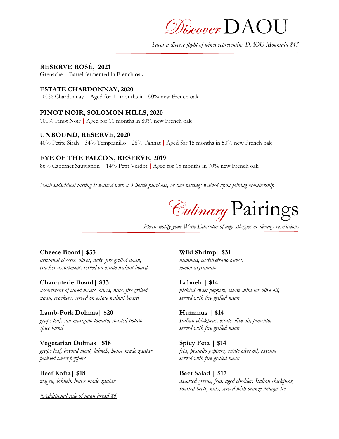Discover  $\mathrm{DAOU}$ 

*Savor a diverse flight of wines representing DAOU Mountain \$45*

# **RESERVE ROSÉ, 2021**

Grenache **|** Barrel fermented in French oak

#### **ESTATE CHARDONNAY, 2020**

100% Chardonnay **|** Aged for 11 months in 100% new French oak

## **PINOT NOIR, SOLOMON HILLS, 2020**

100% Pinot Noir | Aged for 11 months in 80% new French oak

#### **UNBOUND, RESERVE, 2020**

40% Petite Sirah | 34% Tempranillo | 26% Tannat | Aged for 15 months in 50% new French oak

## **EYE OF THE FALCON, RESERVE, 2019**

86% Cabernet Sauvignon **|** 14% Petit Verdot | Aged for 15 months in 70% new French oak

*Each individual tasting is waived with a 3-bottle purchase, or two tastings waived upon joining membership*

Culinary Pairings

*Please notify your Wine Educator of any allergies or dietary restrictions*

## **Cheese Board| \$33 Wild Shrimp| \$31**

*artisanal cheeses, olives, nuts, fire grilled naan, hummus, castelvetrano olives, cracker assortment, served on estate walnut board lemon argrumato*

#### **Charcuterie Board| \$33 Labneh | \$14**

*naan, crackers, served on estate walnut board served with fire grilled naan*

## **Lamb-Pork Dolmas| \$20 Hummus | \$14**

*grape leaf, san marzano tomato, roasted potato, Italian chickpeas, estate olive oil, pimento, spice blend served with fire grilled naan*

#### **Vegetarian Dolmas| \$18 Spicy Feta | \$14**

*pickled sweet peppers served with fire grilled naan*

**Beef Kofta| \$18 Beet Salad | \$17**

*\*Additional side of naan bread \$6*

*assortment of cured meats, olives, nuts, fire grilled pickled sweet peppers, estate mint & olive oil,*

*grape leaf, beyond meat, labneh, house made zaatar feta, piquillo peppers, estate olive oil, cayenne*

*wagyu, labneh, house made zaatar assorted greens, feta, aged chedder, Italian chickpeas, roasted beets, nuts, served with orange vinaigrette*